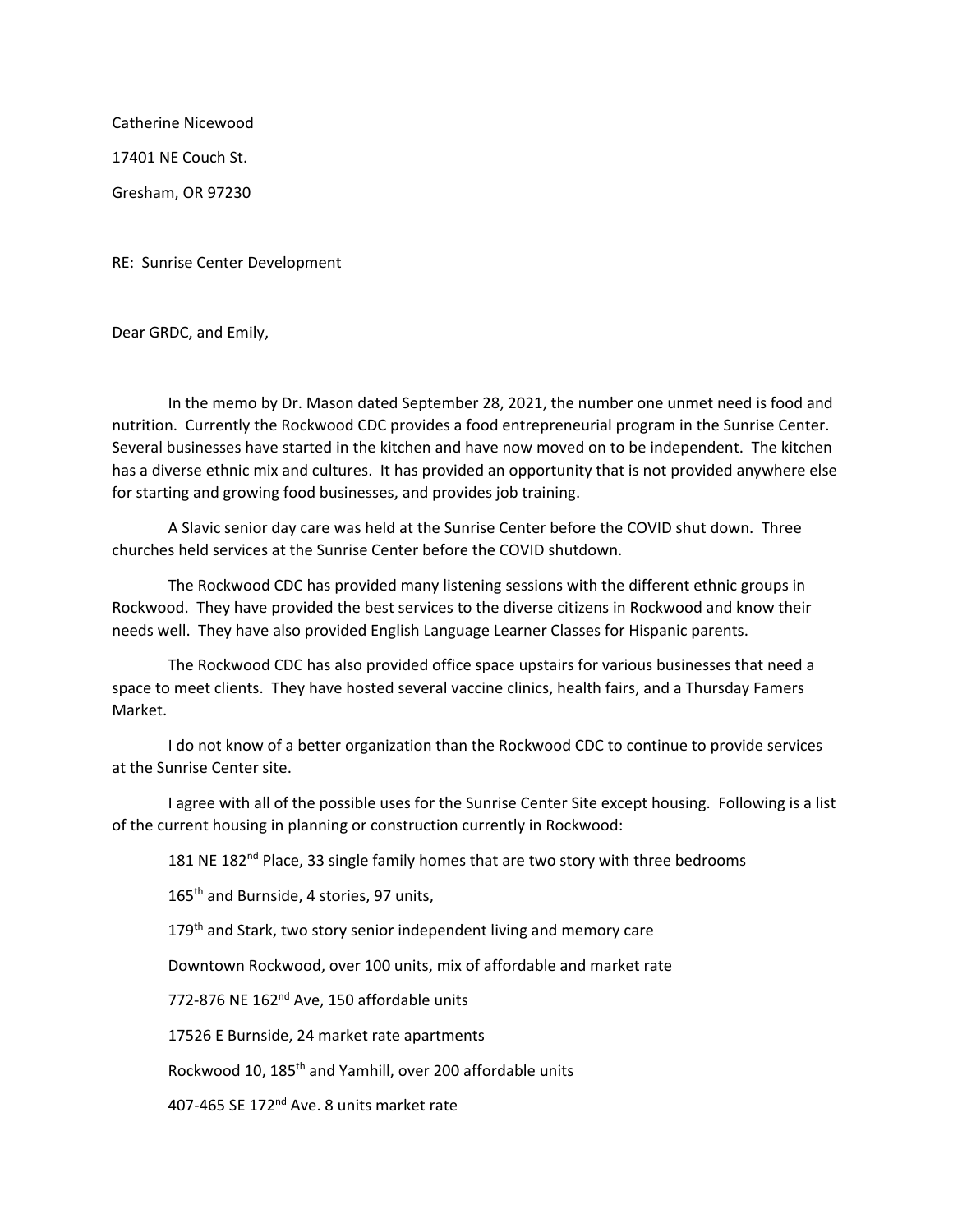Catherine Nicewood 17401 NE Couch St. Gresham, OR 97230

RE: Sunrise Center Development

Dear GRDC, and Emily,

In the memo by Dr. Mason dated September 28, 2021, the number one unmet need is food and nutrition. Currently the Rockwood CDC provides a food entrepreneurial program in the Sunrise Center. Several businesses have started in the kitchen and have now moved on to be independent. The kitchen has a diverse ethnic mix and cultures. It has provided an opportunity that is not provided anywhere else for starting and growing food businesses, and provides job training.

A Slavic senior day care was held at the Sunrise Center before the COVID shut down. Three churches held services at the Sunrise Center before the COVID shutdown.

The Rockwood CDC has provided many listening sessions with the different ethnic groups in Rockwood. They have provided the best services to the diverse citizens in Rockwood and know their needs well. They have also provided English Language Learner Classes for Hispanic parents.

The Rockwood CDC has also provided office space upstairs for various businesses that need a space to meet clients. They have hosted several vaccine clinics, health fairs, and a Thursday Famers Market.

I do not know of a better organization than the Rockwood CDC to continue to provide services at the Sunrise Center site.

I agree with all of the possible uses for the Sunrise Center Site except housing. Following is a list of the current housing in planning or construction currently in Rockwood:

181 NE 182<sup>nd</sup> Place, 33 single family homes that are two story with three bedrooms

165<sup>th</sup> and Burnside, 4 stories, 97 units,

179<sup>th</sup> and Stark, two story senior independent living and memory care

Downtown Rockwood, over 100 units, mix of affordable and market rate

772-876 NE 162<sup>nd</sup> Ave, 150 affordable units

17526 E Burnside, 24 market rate apartments

Rockwood 10, 185<sup>th</sup> and Yamhill, over 200 affordable units

407-465 SE 172<sup>nd</sup> Ave. 8 units market rate